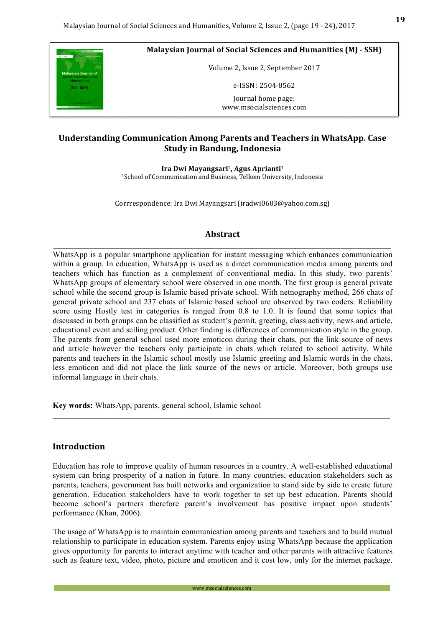

**Malaysian Journal of Social Sciences and Humanities (MJ - SSH)** 

Volume 2, Issue 2, September 2017

e-ISSN : 2504-8562

Journal home page: www.msocialsciences.com

## **Understanding Communication Among Parents and Teachers in WhatsApp. Case Study in Bandung, Indonesia**

**Ira Dwi Mayangsari**1**, Agus Aprianti**<sup>1</sup>

<sup>1</sup>School of Communication and Business, Telkom University, Indonesia

Corrrespondence: Ira Dwi Mayangsari (iradwi0603@yahoo.com.sg)

#### **Abstract**

\_\_\_\_\_\_\_\_\_\_\_\_\_\_\_\_\_\_\_\_\_\_\_\_\_\_\_\_\_\_\_\_\_\_\_\_\_\_\_\_\_\_\_\_\_\_\_\_\_\_\_\_\_\_\_\_\_\_\_\_\_\_\_\_\_\_\_\_\_\_\_\_\_\_\_\_\_\_\_\_\_\_\_\_\_\_\_\_\_\_\_\_\_\_\_\_\_\_\_\_\_\_ WhatsApp is a popular smartphone application for instant messaging which enhances communication within a group. In education, WhatsApp is used as a direct communication media among parents and teachers which has function as a complement of conventional media. In this study, two parents' WhatsApp groups of elementary school were observed in one month. The first group is general private school while the second group is Islamic based private school. With netnography method, 266 chats of general private school and 237 chats of Islamic based school are observed by two coders. Reliability score using Hostly test in categories is ranged from 0.8 to 1.0. It is found that some topics that discussed in both groups can be classified as student's permit, greeting, class activity, news and article, educational event and selling product. Other finding is differences of communication style in the group. The parents from general school used more emoticon during their chats, put the link source of news and article however the teachers only participate in chats which related to school activity. While parents and teachers in the Islamic school mostly use Islamic greeting and Islamic words in the chats, less emoticon and did not place the link source of the news or article. Moreover, both groups use informal language in their chats.

**Key words:** WhatsApp, parents, general school, Islamic school

## **Introduction**

Education has role to improve quality of human resources in a country. A well-established educational system can bring prosperity of a nation in future. In many countries, education stakeholders such as parents, teachers, government has built networks and organization to stand side by side to create future generation. Education stakeholders have to work together to set up best education. Parents should become school's partners therefore parent's involvement has positive impact upon students' performance (Khan, 2006).

\_\_\_\_\_\_\_\_\_\_\_\_\_\_\_\_\_\_\_\_\_\_\_\_\_\_\_\_\_\_\_\_\_\_\_\_\_\_\_\_\_\_\_\_\_\_\_\_\_\_\_\_\_\_\_\_\_\_\_\_\_\_\_\_\_\_\_\_\_\_\_\_\_\_\_\_\_\_\_\_\_\_\_\_\_\_\_\_\_\_\_\_\_\_\_\_\_\_\_\_\_\_

The usage of WhatsApp is to maintain communication among parents and teachers and to build mutual relationship to participate in education system. Parents enjoy using WhatsApp because the application gives opportunity for parents to interact anytime with teacher and other parents with attractive features such as feature text, video, photo, picture and emoticon and it cost low, only for the internet package.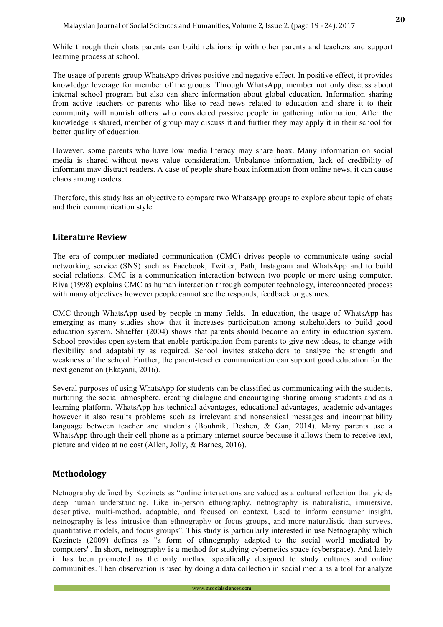While through their chats parents can build relationship with other parents and teachers and support learning process at school.

The usage of parents group WhatsApp drives positive and negative effect. In positive effect, it provides knowledge leverage for member of the groups. Through WhatsApp, member not only discuss about internal school program but also can share information about global education. Information sharing from active teachers or parents who like to read news related to education and share it to their community will nourish others who considered passive people in gathering information. After the knowledge is shared, member of group may discuss it and further they may apply it in their school for better quality of education.

However, some parents who have low media literacy may share hoax. Many information on social media is shared without news value consideration. Unbalance information, lack of credibility of informant may distract readers. A case of people share hoax information from online news, it can cause chaos among readers.

Therefore, this study has an objective to compare two WhatsApp groups to explore about topic of chats and their communication style.

#### **Literature Review**

The era of computer mediated communication (CMC) drives people to communicate using social networking service (SNS) such as Facebook, Twitter, Path, Instagram and WhatsApp and to build social relations. CMC is a communication interaction between two people or more using computer. Riva (1998) explains CMC as human interaction through computer technology, interconnected process with many objectives however people cannot see the responds, feedback or gestures.

CMC through WhatsApp used by people in many fields. In education, the usage of WhatsApp has emerging as many studies show that it increases participation among stakeholders to build good education system. Shaeffer (2004) shows that parents should become an entity in education system. School provides open system that enable participation from parents to give new ideas, to change with flexibility and adaptability as required. School invites stakeholders to analyze the strength and weakness of the school. Further, the parent-teacher communication can support good education for the next generation (Ekayani, 2016).

Several purposes of using WhatsApp for students can be classified as communicating with the students, nurturing the social atmosphere, creating dialogue and encouraging sharing among students and as a learning platform. WhatsApp has technical advantages, educational advantages, academic advantages however it also results problems such as irrelevant and nonsensical messages and incompatibility language between teacher and students (Bouhnik, Deshen, & Gan, 2014). Many parents use a WhatsApp through their cell phone as a primary internet source because it allows them to receive text, picture and video at no cost (Allen, Jolly, & Barnes, 2016).

## **Methodology**

Netnography defined by Kozinets as "online interactions are valued as a cultural reflection that yields deep human understanding. Like in-person ethnography, netnography is naturalistic, immersive, descriptive, multi-method, adaptable, and focused on context. Used to inform consumer insight, netnography is less intrusive than ethnography or focus groups, and more naturalistic than surveys, quantitative models, and focus groups". This study is particularly interested in use Netnography which Kozinets (2009) defines as "a form of ethnography adapted to the social world mediated by computers". In short, netnography is a method for studying cybernetics space (cyberspace). And lately it has been promoted as the only method specifically designed to study cultures and online communities. Then observation is used by doing a data collection in social media as a tool for analyze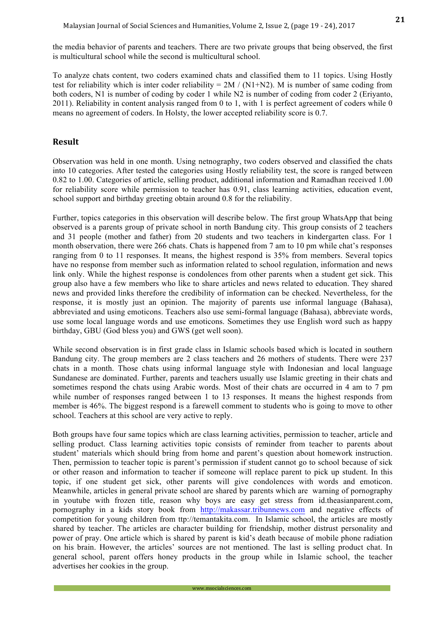the media behavior of parents and teachers. There are two private groups that being observed, the first is multicultural school while the second is multicultural school.

To analyze chats content, two coders examined chats and classified them to 11 topics. Using Hostly test for reliability which is inter coder reliability =  $2M / (N1+N2)$ . M is number of same coding from both coders, N1 is number of coding by coder 1 while N2 is number of coding from coder 2 (Eriyanto, 2011). Reliability in content analysis ranged from 0 to 1, with 1 is perfect agreement of coders while 0 means no agreement of coders. In Holsty, the lower accepted reliability score is 0.7.

#### **Result**

Observation was held in one month. Using netnography, two coders observed and classified the chats into 10 categories. After tested the categories using Hostly reliability test, the score is ranged between 0.82 to 1.00. Categories of article, selling product, additional information and Ramadhan received 1.00 for reliability score while permission to teacher has 0.91, class learning activities, education event, school support and birthday greeting obtain around 0.8 for the reliability.

Further, topics categories in this observation will describe below. The first group WhatsApp that being observed is a parents group of private school in north Bandung city. This group consists of 2 teachers and 31 people (mother and father) from 20 students and two teachers in kindergarten class. For 1 month observation, there were 266 chats. Chats is happened from 7 am to 10 pm while chat's responses ranging from 0 to 11 responses. It means, the highest respond is 35% from members. Several topics have no response from member such as information related to school regulation, information and news link only. While the highest response is condolences from other parents when a student get sick. This group also have a few members who like to share articles and news related to education. They shared news and provided links therefore the credibility of information can be checked. Nevertheless, for the response, it is mostly just an opinion. The majority of parents use informal language (Bahasa), abbreviated and using emoticons. Teachers also use semi-formal language (Bahasa), abbreviate words, use some local language words and use emoticons. Sometimes they use English word such as happy birthday, GBU (God bless you) and GWS (get well soon).

While second observation is in first grade class in Islamic schools based which is located in southern Bandung city. The group members are 2 class teachers and 26 mothers of students. There were 237 chats in a month. Those chats using informal language style with Indonesian and local language Sundanese are dominated. Further, parents and teachers usually use Islamic greeting in their chats and sometimes respond the chats using Arabic words. Most of their chats are occurred in 4 am to 7 pm while number of responses ranged between 1 to 13 responses. It means the highest responds from member is 46%. The biggest respond is a farewell comment to students who is going to move to other school. Teachers at this school are very active to reply.

Both groups have four same topics which are class learning activities, permission to teacher, article and selling product. Class learning activities topic consists of reminder from teacher to parents about student' materials which should bring from home and parent's question about homework instruction. Then, permission to teacher topic is parent's permission if student cannot go to school because of sick or other reason and information to teacher if someone will replace parent to pick up student. In this topic, if one student get sick, other parents will give condolences with words and emoticon. Meanwhile, articles in general private school are shared by parents which are warning of pornography in youtube with frozen title, reason why boys are easy get stress from id.theasianparent.com, pornography in a kids story book from http://makassar.tribunnews.com and negative effects of competition for young children from ttp://temantakita.com. In Islamic school, the articles are mostly shared by teacher. The articles are character building for friendship, mother distrust personality and power of pray. One article which is shared by parent is kid's death because of mobile phone radiation on his brain. However, the articles' sources are not mentioned. The last is selling product chat. In general school, parent offers honey products in the group while in Islamic school, the teacher advertises her cookies in the group.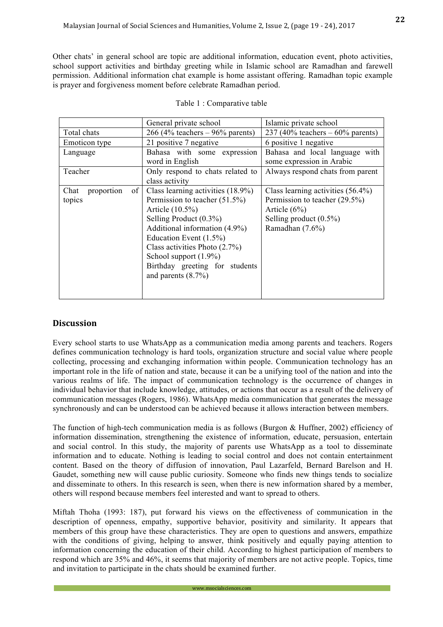Other chats' in general school are topic are additional information, education event, photo activities, school support activities and birthday greeting while in Islamic school are Ramadhan and farewell permission. Additional information chat example is home assistant offering. Ramadhan topic example is prayer and forgiveness moment before celebrate Ramadhan period.

|                          | General private school            | Islamic private school               |
|--------------------------|-----------------------------------|--------------------------------------|
| Total chats              | 266 (4% teachers $-96\%$ parents) | 237 (40% teachers $-60\%$ parents)   |
| Emoticon type            | 21 positive 7 negative            | 6 positive 1 negative                |
| Language                 | Bahasa with some expression       | Bahasa and local language with       |
|                          | word in English                   | some expression in Arabic            |
| Teacher                  | Only respond to chats related to  | Always respond chats from parent     |
|                          | class activity                    |                                      |
| of<br>Chat<br>proportion | Class learning activities (18.9%) | Class learning activities $(56.4\%)$ |
| topics                   | Permission to teacher $(51.5\%)$  | Permission to teacher (29.5%)        |
|                          | Article (10.5%)                   | Article $(6\%)$                      |
|                          | Selling Product $(0.3\%)$         | Selling product $(0.5\%)$            |
|                          | Additional information (4.9%)     | Ramadhan (7.6%)                      |
|                          | Education Event $(1.5\%)$         |                                      |
|                          | Class activities Photo $(2.7\%)$  |                                      |
|                          | School support $(1.9\%)$          |                                      |
|                          | Birthday greeting for students    |                                      |
|                          | and parents $(8.7\%)$             |                                      |
|                          |                                   |                                      |
|                          |                                   |                                      |

## **Discussion**

Every school starts to use WhatsApp as a communication media among parents and teachers. Rogers defines communication technology is hard tools, organization structure and social value where people collecting, processing and exchanging information within people. Communication technology has an important role in the life of nation and state, because it can be a unifying tool of the nation and into the various realms of life. The impact of communication technology is the occurrence of changes in individual behavior that include knowledge, attitudes, or actions that occur as a result of the delivery of communication messages (Rogers, 1986). WhatsApp media communication that generates the message synchronously and can be understood can be achieved because it allows interaction between members.

The function of high-tech communication media is as follows (Burgon & Huffner, 2002) efficiency of information dissemination, strengthening the existence of information, educate, persuasion, entertain and social control. In this study, the majority of parents use WhatsApp as a tool to disseminate information and to educate. Nothing is leading to social control and does not contain entertainment content. Based on the theory of diffusion of innovation, Paul Lazarfeld, Bernard Barelson and H. Gaudet, something new will cause public curiosity. Someone who finds new things tends to socialize and disseminate to others. In this research is seen, when there is new information shared by a member, others will respond because members feel interested and want to spread to others.

Miftah Thoha (1993: 187), put forward his views on the effectiveness of communication in the description of openness, empathy, supportive behavior, positivity and similarity. It appears that members of this group have these characteristics. They are open to questions and answers, empathize with the conditions of giving, helping to answer, think positively and equally paying attention to information concerning the education of their child. According to highest participation of members to respond which are 35% and 46%, it seems that majority of members are not active people. Topics, time and invitation to participate in the chats should be examined further.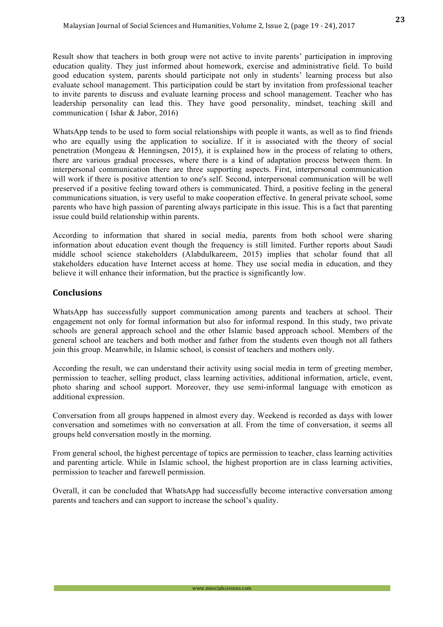Result show that teachers in both group were not active to invite parents' participation in improving education quality. They just informed about homework, exercise and administrative field. To build good education system, parents should participate not only in students' learning process but also evaluate school management. This participation could be start by invitation from professional teacher to invite parents to discuss and evaluate learning process and school management. Teacher who has leadership personality can lead this. They have good personality, mindset, teaching skill and communication ( Ishar & Jabor, 2016)

WhatsApp tends to be used to form social relationships with people it wants, as well as to find friends who are equally using the application to socialize. If it is associated with the theory of social penetration (Mongeau & Henningsen, 2015), it is explained how in the process of relating to others, there are various gradual processes, where there is a kind of adaptation process between them. In interpersonal communication there are three supporting aspects. First, interpersonal communication will work if there is positive attention to one's self. Second, interpersonal communication will be well preserved if a positive feeling toward others is communicated. Third, a positive feeling in the general communications situation, is very useful to make cooperation effective. In general private school, some parents who have high passion of parenting always participate in this issue. This is a fact that parenting issue could build relationship within parents.

According to information that shared in social media, parents from both school were sharing information about education event though the frequency is still limited. Further reports about Saudi middle school science stakeholders (Alabdulkareem, 2015) implies that scholar found that all stakeholders education have Internet access at home. They use social media in education, and they believe it will enhance their information, but the practice is significantly low.

# **Conclusions**

WhatsApp has successfully support communication among parents and teachers at school. Their engagement not only for formal information but also for informal respond. In this study, two private schools are general approach school and the other Islamic based approach school. Members of the general school are teachers and both mother and father from the students even though not all fathers join this group. Meanwhile, in Islamic school, is consist of teachers and mothers only.

According the result, we can understand their activity using social media in term of greeting member, permission to teacher, selling product, class learning activities, additional information, article, event, photo sharing and school support. Moreover, they use semi-informal language with emoticon as additional expression.

Conversation from all groups happened in almost every day. Weekend is recorded as days with lower conversation and sometimes with no conversation at all. From the time of conversation, it seems all groups held conversation mostly in the morning.

From general school, the highest percentage of topics are permission to teacher, class learning activities and parenting article. While in Islamic school, the highest proportion are in class learning activities, permission to teacher and farewell permission.

Overall, it can be concluded that WhatsApp had successfully become interactive conversation among parents and teachers and can support to increase the school's quality.